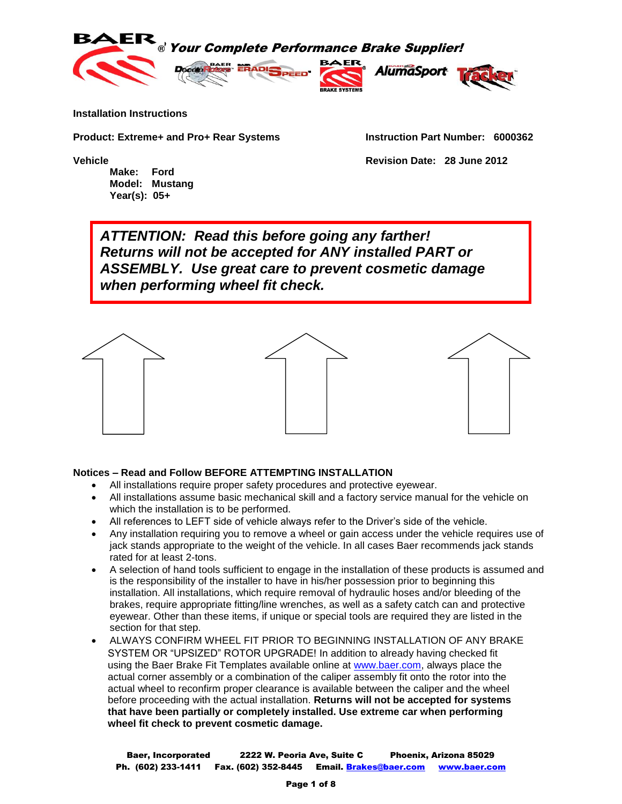





**Installation Instructions**

**Product: Extreme+ and Pro+ Rear Systems Instruction Part Number: 6000362**

**Make: Ford Model: Mustang Year(s): 05+**

**Vehicle Revision Date: 28 June 2012**

*ATTENTION: Read this before going any farther! Returns will not be accepted for ANY installed PART or ASSEMBLY. Use great care to prevent cosmetic damage when performing wheel fit check.*



#### **Notices – Read and Follow BEFORE ATTEMPTING INSTALLATION**

- All installations require proper safety procedures and protective eyewear.
- All installations assume basic mechanical skill and a factory service manual for the vehicle on which the installation is to be performed.
- All references to LEFT side of vehicle always refer to the Driver's side of the vehicle.
- Any installation requiring you to remove a wheel or gain access under the vehicle requires use of jack stands appropriate to the weight of the vehicle. In all cases Baer recommends jack stands rated for at least 2-tons.
- A selection of hand tools sufficient to engage in the installation of these products is assumed and is the responsibility of the installer to have in his/her possession prior to beginning this installation. All installations, which require removal of hydraulic hoses and/or bleeding of the brakes, require appropriate fitting/line wrenches, as well as a safety catch can and protective eyewear. Other than these items, if unique or special tools are required they are listed in the section for that step.
- ALWAYS CONFIRM WHEEL FIT PRIOR TO BEGINNING INSTALLATION OF ANY BRAKE SYSTEM OR "UPSIZED" ROTOR UPGRADE! In addition to already having checked fit using the Baer Brake Fit Templates available online at [www.baer.com,](http://www.baer.com/) always place the actual corner assembly or a combination of the caliper assembly fit onto the rotor into the actual wheel to reconfirm proper clearance is available between the caliper and the wheel before proceeding with the actual installation. **Returns will not be accepted for systems that have been partially or completely installed. Use extreme car when performing wheel fit check to prevent cosmetic damage.**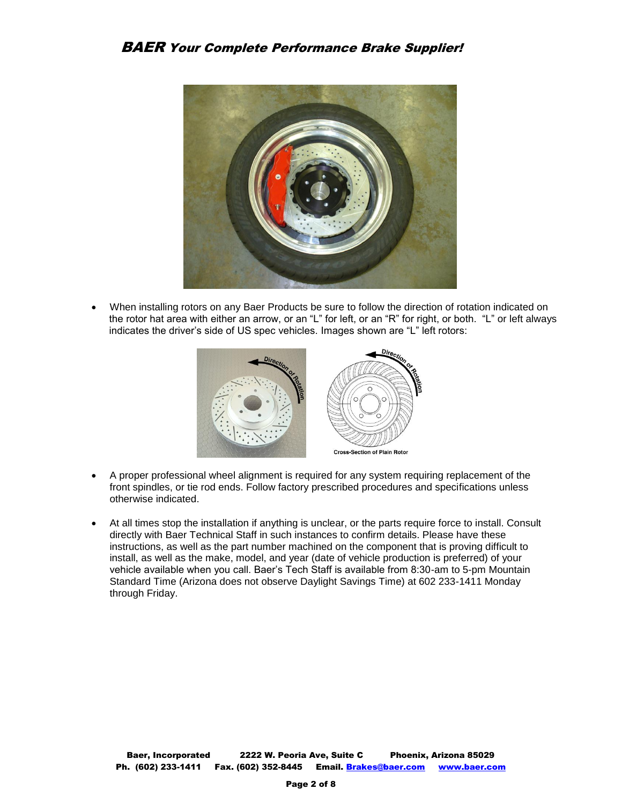

 When installing rotors on any Baer Products be sure to follow the direction of rotation indicated on the rotor hat area with either an arrow, or an "L" for left, or an "R" for right, or both. "L" or left always indicates the driver's side of US spec vehicles. Images shown are "L" left rotors:



- A proper professional wheel alignment is required for any system requiring replacement of the front spindles, or tie rod ends. Follow factory prescribed procedures and specifications unless otherwise indicated.
- At all times stop the installation if anything is unclear, or the parts require force to install. Consult directly with Baer Technical Staff in such instances to confirm details. Please have these instructions, as well as the part number machined on the component that is proving difficult to install, as well as the make, model, and year (date of vehicle production is preferred) of your vehicle available when you call. Baer's Tech Staff is available from 8:30-am to 5-pm Mountain Standard Time (Arizona does not observe Daylight Savings Time) at 602 233-1411 Monday through Friday.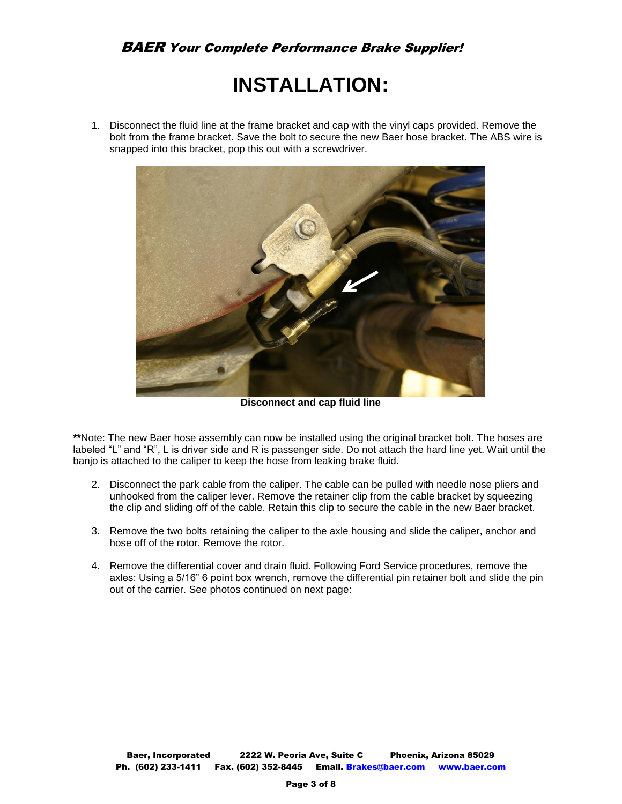# **INSTALLATION:**

1. Disconnect the fluid line at the frame bracket and cap with the vinyl caps provided. Remove the bolt from the frame bracket. Save the bolt to secure the new Baer hose bracket. The ABS wire is snapped into this bracket, pop this out with a screwdriver.



**Disconnect and cap fluid line**

**\*\***Note: The new Baer hose assembly can now be installed using the original bracket bolt. The hoses are labeled "L" and "R", L is driver side and R is passenger side. Do not attach the hard line yet. Wait until the banjo is attached to the caliper to keep the hose from leaking brake fluid.

- 2. Disconnect the park cable from the caliper. The cable can be pulled with needle nose pliers and unhooked from the caliper lever. Remove the retainer clip from the cable bracket by squeezing the clip and sliding off of the cable. Retain this clip to secure the cable in the new Baer bracket.
- 3. Remove the two bolts retaining the caliper to the axle housing and slide the caliper, anchor and hose off of the rotor. Remove the rotor.
- 4. Remove the differential cover and drain fluid. Following Ford Service procedures, remove the axles: Using a 5/16" 6 point box wrench, remove the differential pin retainer bolt and slide the pin out of the carrier. See photos continued on next page: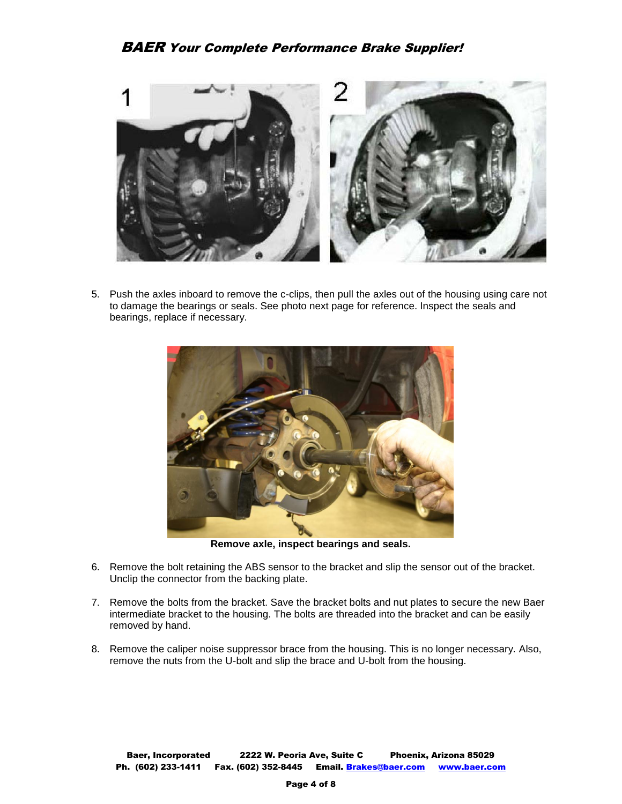

5. Push the axles inboard to remove the c-clips, then pull the axles out of the housing using care not to damage the bearings or seals. See photo next page for reference. Inspect the seals and bearings, replace if necessary.



**Remove axle, inspect bearings and seals.**

- 6. Remove the bolt retaining the ABS sensor to the bracket and slip the sensor out of the bracket. Unclip the connector from the backing plate.
- 7. Remove the bolts from the bracket. Save the bracket bolts and nut plates to secure the new Baer intermediate bracket to the housing. The bolts are threaded into the bracket and can be easily removed by hand.
- 8. Remove the caliper noise suppressor brace from the housing. This is no longer necessary. Also, remove the nuts from the U-bolt and slip the brace and U-bolt from the housing.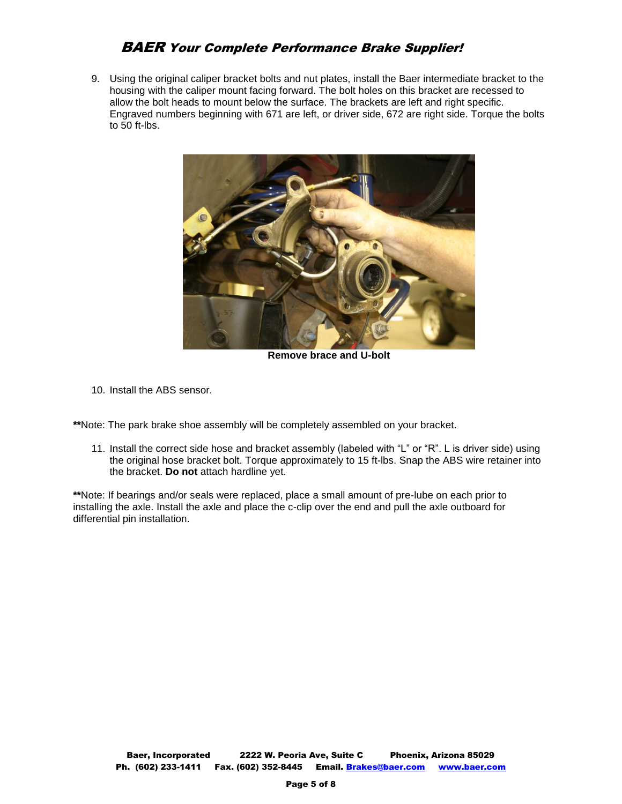9. Using the original caliper bracket bolts and nut plates, install the Baer intermediate bracket to the housing with the caliper mount facing forward. The bolt holes on this bracket are recessed to allow the bolt heads to mount below the surface. The brackets are left and right specific. Engraved numbers beginning with 671 are left, or driver side, 672 are right side. Torque the bolts to 50 ft-lbs.



**Remove brace and U-bolt**

10. Install the ABS sensor.

**\*\***Note: The park brake shoe assembly will be completely assembled on your bracket.

11. Install the correct side hose and bracket assembly (labeled with "L" or "R". L is driver side) using the original hose bracket bolt. Torque approximately to 15 ft-lbs. Snap the ABS wire retainer into the bracket. **Do not** attach hardline yet.

**\*\***Note: If bearings and/or seals were replaced, place a small amount of pre-lube on each prior to installing the axle. Install the axle and place the c-clip over the end and pull the axle outboard for differential pin installation.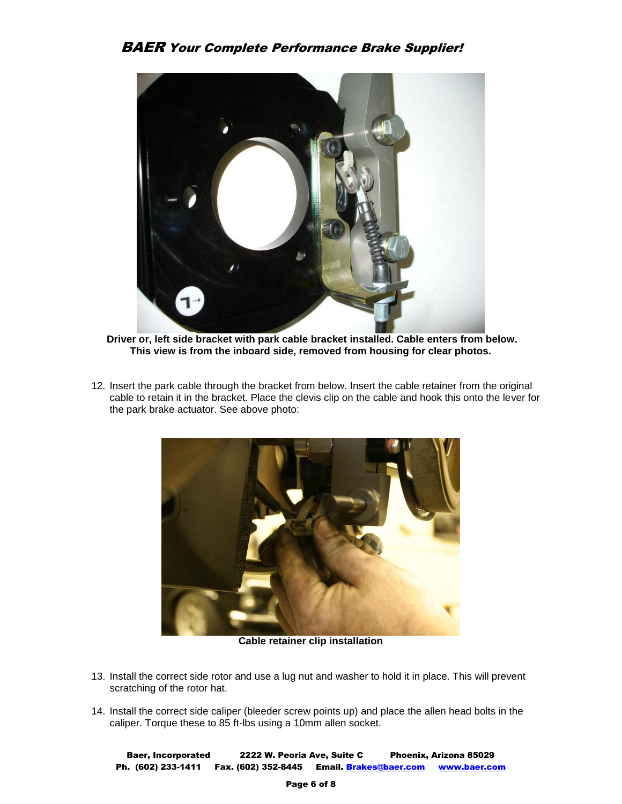

**Driver or, left side bracket with park cable bracket installed. Cable enters from below. This view is from the inboard side, removed from housing for clear photos.**

12. Insert the park cable through the bracket from below. Insert the cable retainer from the original cable to retain it in the bracket. Place the clevis clip on the cable and hook this onto the lever for the park brake actuator. See above photo:



**Cable retainer clip installation**

- 13. Install the correct side rotor and use a lug nut and washer to hold it in place. This will prevent scratching of the rotor hat.
- 14. Install the correct side caliper (bleeder screw points up) and place the allen head bolts in the caliper. Torque these to 85 ft-lbs using a 10mm allen socket.

Baer, Incorporated 2222 W. Peoria Ave, Suite C Phoenix, Arizona 85029 Ph. (602) 233-1411 Fax. (602) 352-8445 Email. Brakes@baer.com www.baer.com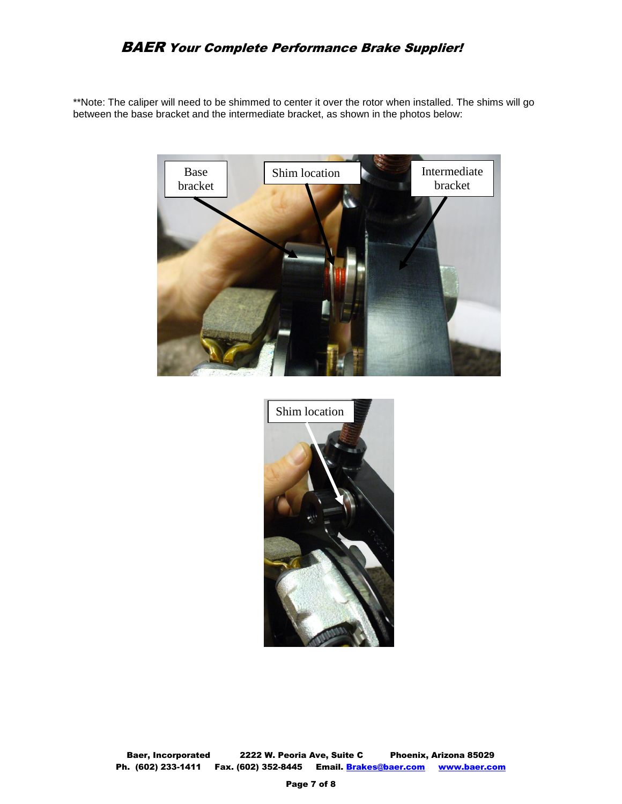\*\*Note: The caliper will need to be shimmed to center it over the rotor when installed. The shims will go between the base bracket and the intermediate bracket, as shown in the photos below:





Baer, Incorporated 2222 W. Peoria Ave, Suite C Phoenix, Arizona 85029 Ph. (602) 233-1411 Fax. (602) 352-8445 Email. Brakes@baer.com www.baer.com